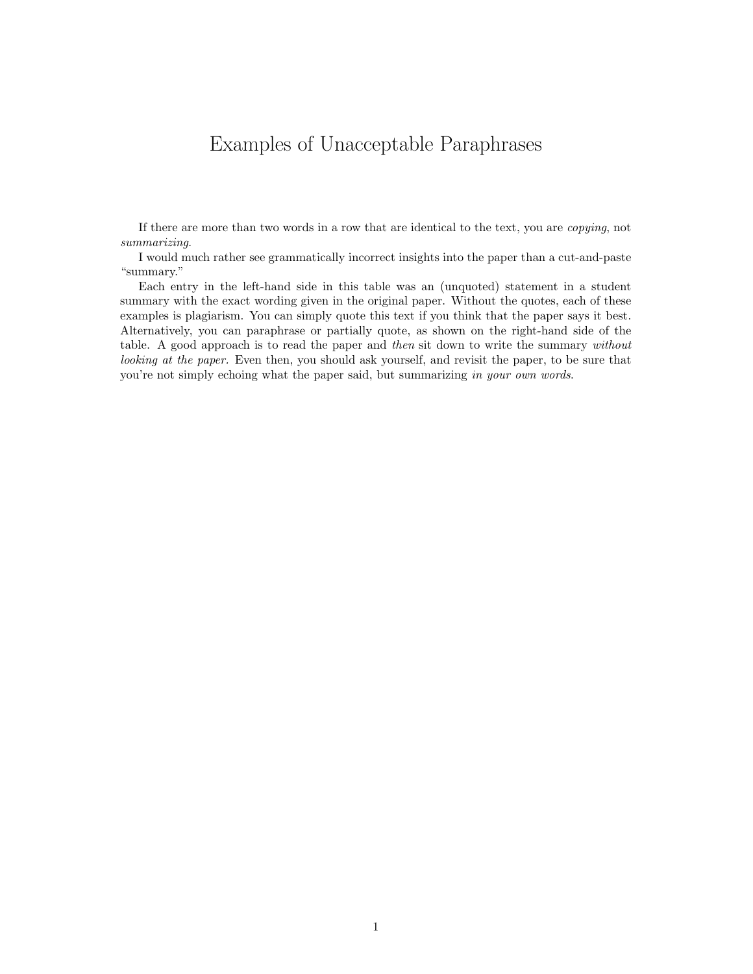## Examples of Unacceptable Paraphrases

If there are more than two words in a row that are identical to the text, you are copying, not summarizing.

I would much rather see grammatically incorrect insights into the paper than a cut-and-paste "summary."

Each entry in the left-hand side in this table was an (unquoted) statement in a student summary with the exact wording given in the original paper. Without the quotes, each of these examples is plagiarism. You can simply quote this text if you think that the paper says it best. Alternatively, you can paraphrase or partially quote, as shown on the right-hand side of the table. A good approach is to read the paper and then sit down to write the summary without looking at the paper. Even then, you should ask yourself, and revisit the paper, to be sure that you're not simply echoing what the paper said, but summarizing in your own words.